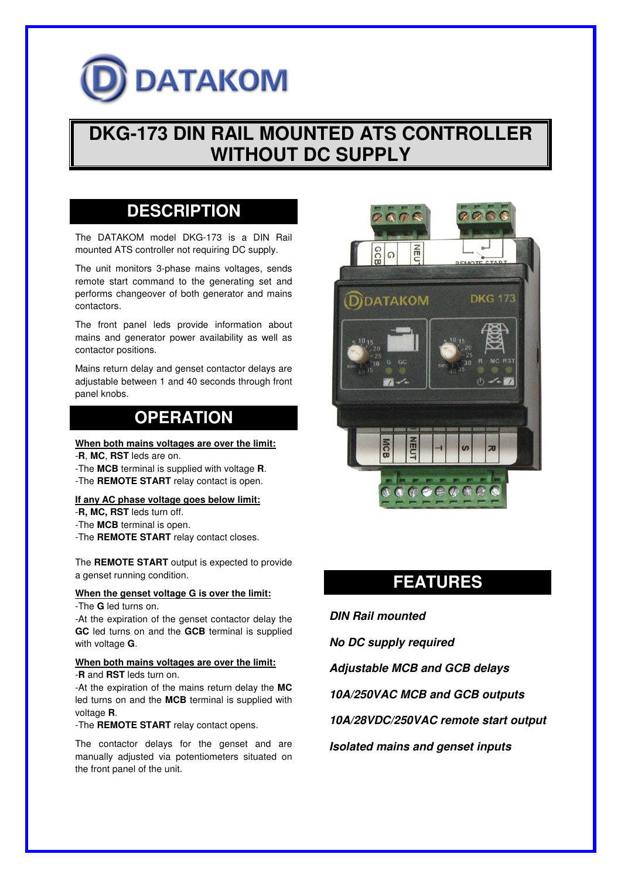# **DATAKOM**

## **DKG-173 DIN RAIL MOUNTED ATS CONTROLLER WITHOUT DC SUPPLY**

## **DESCRIPTION**

The DATAKOM model DKG-173 is a DIN Rail mounted ATS controller not requiring DC supply.

The unit monitors 3-phase mains voltages, sends remote start command to the generating set and performs changeover of both generator and mains contactors.

The front panel leds provide information about mains and generator power availability as well as contactor positions.

Mains return delay and genset contactor delays are adjustable between 1 and 40 seconds through front panel knobs.

## **OPERATION**

#### **When both mains voltages are over the limit:**

- -**R**, **MC**, **RST** leds are on.
- -The **MCB** terminal is supplied with voltage **R**.
- -The **REMOTE START** relay contact is open.

#### **If any AC phase voltage goes below limit:**

- -**R, MC, RST** leds turn off.
- -The **MCB** terminal is open.
- -The **REMOTE START** relay contact closes.

The **REMOTE START** output is expected to provide a genset running condition.

#### **When the genset voltage G is over the limit:**

-The **G** led turns on.

-At the expiration of the genset contactor delay the **GC** led turns on and the **GCB** terminal is supplied with voltage **G**.

#### **When both mains voltages are over the limit:** -**R** and **RST** leds turn on.

-At the expiration of the mains return delay the **MC** led turns on and the **MCB** terminal is supplied with voltage **R**.

-The **REMOTE START** relay contact opens.

The contactor delays for the genset and are manually adjusted via potentiometers situated on the front panel of the unit.



## **FEATURES**

**DIN Rail mounted** 

**No DC supply required** 

**Adjustable MCB and GCB delays** 

**10A/250VAC MCB and GCB outputs** 

**10A/28VDC/250VAC remote start output** 

**Isolated mains and genset inputs**